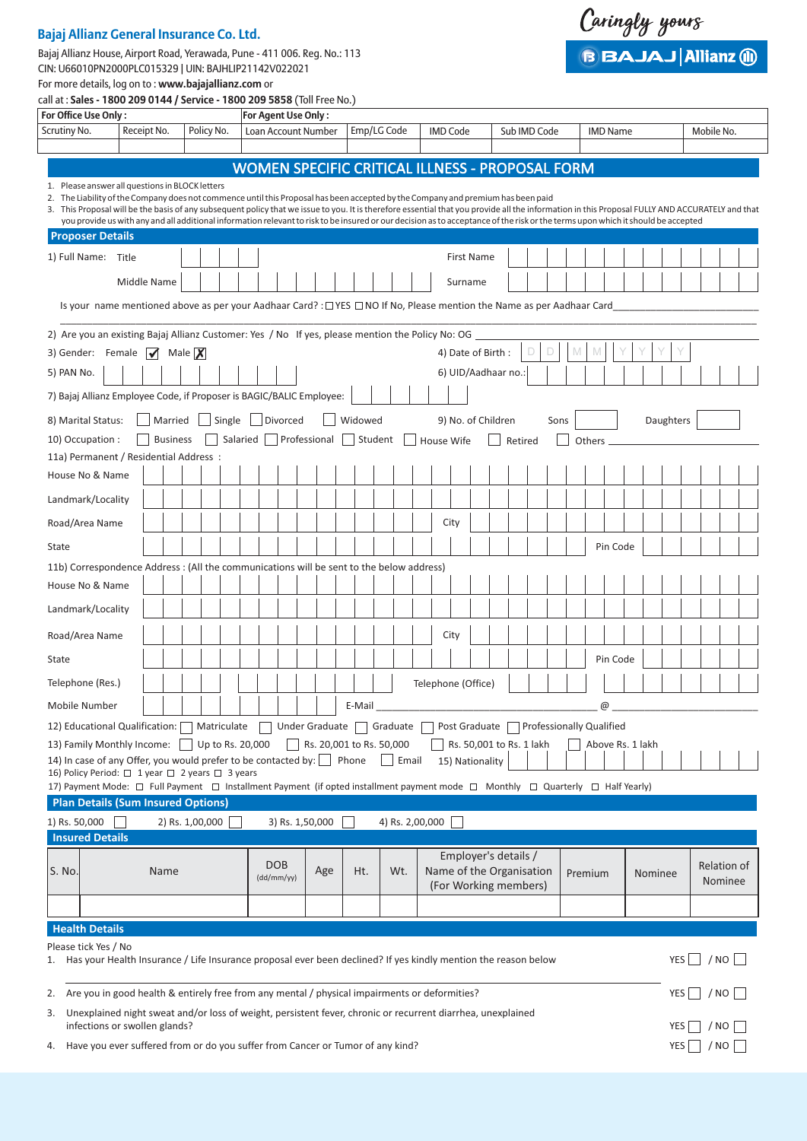## **Bajaj Allianz General Insurance Co. Ltd.**

Bajaj Allianz House, Airport Road, Yerawada, Pune - 411 006. Reg. No.: 113 CIN: U66010PN2000PLC015329 | UIN: BAJHLIP21142V022021



For more details, log on to : **www.bajajallianz.com** or call at : **Sales - 1800 209 0144 / Service - 1800 209 5858** (Toll Free No.)

| For Office Use Only:                                                                                                                                                                                                                                                                                                                                                                                                                                                                                                                                                       |                       |                 |  |            |                                                        | <b>For Agent Use Only :</b> |                 |  |                          |             |                           |  |                          |  |         |              |   |         |                                          |  |           |                  |            |               |                    |
|----------------------------------------------------------------------------------------------------------------------------------------------------------------------------------------------------------------------------------------------------------------------------------------------------------------------------------------------------------------------------------------------------------------------------------------------------------------------------------------------------------------------------------------------------------------------------|-----------------------|-----------------|--|------------|--------------------------------------------------------|-----------------------------|-----------------|--|--------------------------|-------------|---------------------------|--|--------------------------|--|---------|--------------|---|---------|------------------------------------------|--|-----------|------------------|------------|---------------|--------------------|
| Scrutiny No.                                                                                                                                                                                                                                                                                                                                                                                                                                                                                                                                                               | Receipt No.           |                 |  | Policy No. |                                                        | Loan Account Number         |                 |  |                          | Emp/LG Code |                           |  | <b>IMD Code</b>          |  |         | Sub IMD Code |   |         | <b>IMD Name</b>                          |  |           |                  | Mobile No. |               |                    |
|                                                                                                                                                                                                                                                                                                                                                                                                                                                                                                                                                                            |                       |                 |  |            |                                                        |                             |                 |  |                          |             |                           |  |                          |  |         |              |   |         |                                          |  |           |                  |            |               |                    |
|                                                                                                                                                                                                                                                                                                                                                                                                                                                                                                                                                                            |                       |                 |  |            | <b>WOMEN SPECIFIC CRITICAL ILLNESS - PROPOSAL FORM</b> |                             |                 |  |                          |             |                           |  |                          |  |         |              |   |         |                                          |  |           |                  |            |               |                    |
| 1. Please answer all questions in BLOCK letters<br>2. The Liability of the Company does not commence until this Proposal has been accepted by the Company and premium has been paid<br>3. This Proposal will be the basis of any subsequent policy that we issue to you. It is therefore essential that you provide all the information in this Proposal FULLY AND ACCURATELY and that<br>you provide us with any and all additional information relevant to risk to be insured or our decision as to acceptance of the risk or the terms upon which it should be accepted |                       |                 |  |            |                                                        |                             |                 |  |                          |             |                           |  |                          |  |         |              |   |         |                                          |  |           |                  |            |               |                    |
| <b>Proposer Details</b>                                                                                                                                                                                                                                                                                                                                                                                                                                                                                                                                                    |                       |                 |  |            |                                                        |                             |                 |  |                          |             |                           |  |                          |  |         |              |   |         |                                          |  |           |                  |            |               |                    |
| 1) Full Name: Title                                                                                                                                                                                                                                                                                                                                                                                                                                                                                                                                                        |                       |                 |  |            |                                                        |                             |                 |  |                          |             |                           |  | <b>First Name</b>        |  |         |              |   |         |                                          |  |           |                  |            |               |                    |
|                                                                                                                                                                                                                                                                                                                                                                                                                                                                                                                                                                            | Middle Name           |                 |  |            |                                                        |                             |                 |  |                          |             |                           |  | Surname                  |  |         |              |   |         |                                          |  |           |                  |            |               |                    |
| Is your name mentioned above as per your Aadhaar Card? : $\Box$ YES $\Box$ NO If No, Please mention the Name as per Aadhaar Card                                                                                                                                                                                                                                                                                                                                                                                                                                           |                       |                 |  |            |                                                        |                             |                 |  |                          |             |                           |  |                          |  |         |              |   |         |                                          |  |           |                  |            |               |                    |
| 2) Are you an existing Bajaj Allianz Customer: Yes / No If yes, please mention the Policy No: OG                                                                                                                                                                                                                                                                                                                                                                                                                                                                           |                       |                 |  |            |                                                        |                             |                 |  |                          |             |                           |  |                          |  |         |              |   |         |                                          |  |           |                  |            |               |                    |
| 3) Gender: Female $\sqrt{ }$ Male $\boxed{\mathbf{X}}$                                                                                                                                                                                                                                                                                                                                                                                                                                                                                                                     |                       |                 |  |            |                                                        |                             |                 |  |                          |             |                           |  | 4) Date of Birth:        |  |         |              | M |         |                                          |  |           |                  |            |               |                    |
| 5) PAN No.                                                                                                                                                                                                                                                                                                                                                                                                                                                                                                                                                                 |                       |                 |  |            |                                                        |                             |                 |  |                          |             |                           |  | 6) UID/Aadhaar no.:      |  |         |              |   |         |                                          |  |           |                  |            |               |                    |
| 7) Bajaj Allianz Employee Code, if Proposer is BAGIC/BALIC Employee:                                                                                                                                                                                                                                                                                                                                                                                                                                                                                                       |                       |                 |  |            |                                                        |                             |                 |  |                          |             |                           |  |                          |  |         |              |   |         |                                          |  |           |                  |            |               |                    |
| 8) Marital Status:                                                                                                                                                                                                                                                                                                                                                                                                                                                                                                                                                         |                       |                 |  |            | Married Single Divorced                                |                             |                 |  |                          | Widowed     |                           |  | 9) No. of Children       |  |         | Sons         |   |         |                                          |  | Daughters |                  |            |               |                    |
| 10) Occupation :                                                                                                                                                                                                                                                                                                                                                                                                                                                                                                                                                           |                       | <b>Business</b> |  |            | Salaried Professional Student                          |                             |                 |  |                          |             |                           |  | House Wife               |  | Retired |              |   | Others  |                                          |  |           |                  |            |               |                    |
| 11a) Permanent / Residential Address :                                                                                                                                                                                                                                                                                                                                                                                                                                                                                                                                     |                       |                 |  |            |                                                        |                             |                 |  |                          |             |                           |  |                          |  |         |              |   |         |                                          |  |           |                  |            |               |                    |
| House No & Name                                                                                                                                                                                                                                                                                                                                                                                                                                                                                                                                                            |                       |                 |  |            |                                                        |                             |                 |  |                          |             |                           |  |                          |  |         |              |   |         |                                          |  |           |                  |            |               |                    |
| Landmark/Locality                                                                                                                                                                                                                                                                                                                                                                                                                                                                                                                                                          |                       |                 |  |            |                                                        |                             |                 |  |                          |             |                           |  |                          |  |         |              |   |         |                                          |  |           |                  |            |               |                    |
| Road/Area Name                                                                                                                                                                                                                                                                                                                                                                                                                                                                                                                                                             |                       |                 |  |            |                                                        |                             |                 |  |                          |             |                           |  | City                     |  |         |              |   |         |                                          |  |           |                  |            |               |                    |
| State                                                                                                                                                                                                                                                                                                                                                                                                                                                                                                                                                                      |                       |                 |  |            |                                                        |                             |                 |  |                          |             |                           |  |                          |  |         |              |   |         | Pin Code                                 |  |           |                  |            |               |                    |
| 11b) Correspondence Address : (All the communications will be sent to the below address)                                                                                                                                                                                                                                                                                                                                                                                                                                                                                   |                       |                 |  |            |                                                        |                             |                 |  |                          |             |                           |  |                          |  |         |              |   |         |                                          |  |           |                  |            |               |                    |
| House No & Name                                                                                                                                                                                                                                                                                                                                                                                                                                                                                                                                                            |                       |                 |  |            |                                                        |                             |                 |  |                          |             |                           |  |                          |  |         |              |   |         |                                          |  |           |                  |            |               |                    |
| Landmark/Locality                                                                                                                                                                                                                                                                                                                                                                                                                                                                                                                                                          |                       |                 |  |            |                                                        |                             |                 |  |                          |             |                           |  |                          |  |         |              |   |         |                                          |  |           |                  |            |               |                    |
| Road/Area Name                                                                                                                                                                                                                                                                                                                                                                                                                                                                                                                                                             |                       |                 |  |            |                                                        |                             |                 |  |                          |             |                           |  | City                     |  |         |              |   |         |                                          |  |           |                  |            |               |                    |
| State                                                                                                                                                                                                                                                                                                                                                                                                                                                                                                                                                                      |                       |                 |  |            |                                                        |                             |                 |  |                          |             |                           |  |                          |  |         |              |   |         | Pin Code                                 |  |           |                  |            |               |                    |
| Telephone (Res.)                                                                                                                                                                                                                                                                                                                                                                                                                                                                                                                                                           |                       |                 |  |            |                                                        |                             |                 |  |                          |             |                           |  | Telephone (Office)       |  |         |              |   |         |                                          |  |           |                  |            |               |                    |
| Mobile Number                                                                                                                                                                                                                                                                                                                                                                                                                                                                                                                                                              |                       |                 |  |            |                                                        |                             |                 |  |                          | E-Mail      |                           |  |                          |  |         |              |   |         | @                                        |  |           |                  |            |               |                    |
| 12) Educational Qualification: Matriculate                                                                                                                                                                                                                                                                                                                                                                                                                                                                                                                                 |                       |                 |  |            |                                                        |                             |                 |  |                          |             | Under Graduate   Graduate |  |                          |  |         |              |   |         | Post Graduate   Professionally Qualified |  |           |                  |            |               |                    |
| 13) Family Monthly Income:                                                                                                                                                                                                                                                                                                                                                                                                                                                                                                                                                 |                       |                 |  |            | Up to Rs. 20,000                                       |                             |                 |  | Rs. 20,001 to Rs. 50,000 |             |                           |  | Rs. 50,001 to Rs. 1 lakh |  |         |              |   |         | Above Rs. 1 lakh                         |  |           |                  |            |               |                    |
| 14) In case of any Offer, you would prefer to be contacted by: Phone<br>16) Policy Period: □ 1 year □ 2 years □ 3 years                                                                                                                                                                                                                                                                                                                                                                                                                                                    |                       |                 |  |            |                                                        |                             |                 |  |                          |             | Email                     |  | 15) Nationality          |  |         |              |   |         |                                          |  |           |                  |            |               |                    |
| 17) Payment Mode: □ Full Payment □ Installment Payment (if opted installment payment mode □ Monthly □ Quarterly □ Half Yearly)                                                                                                                                                                                                                                                                                                                                                                                                                                             |                       |                 |  |            |                                                        |                             |                 |  |                          |             |                           |  |                          |  |         |              |   |         |                                          |  |           |                  |            |               |                    |
| <b>Plan Details (Sum Insured Options)</b>                                                                                                                                                                                                                                                                                                                                                                                                                                                                                                                                  |                       |                 |  |            |                                                        |                             |                 |  |                          |             |                           |  |                          |  |         |              |   |         |                                          |  |           |                  |            |               |                    |
| 1) Rs. 50,000<br><b>Insured Details</b>                                                                                                                                                                                                                                                                                                                                                                                                                                                                                                                                    |                       | 2) Rs. 1,00,000 |  |            |                                                        |                             | 3) Rs. 1,50,000 |  |                          |             | 4) Rs. 2,00,000           |  |                          |  |         |              |   |         |                                          |  |           |                  |            |               |                    |
|                                                                                                                                                                                                                                                                                                                                                                                                                                                                                                                                                                            |                       |                 |  |            |                                                        |                             |                 |  |                          |             |                           |  | Employer's details /     |  |         |              |   |         |                                          |  |           |                  |            |               |                    |
| S. No.                                                                                                                                                                                                                                                                                                                                                                                                                                                                                                                                                                     |                       | Name            |  |            |                                                        | <b>DOB</b><br>(dd/mm/yy)    |                 |  | Age                      | Ht.         | Wt.                       |  | Name of the Organisation |  |         |              |   | Premium |                                          |  | Nominee   |                  |            |               | <b>Relation of</b> |
|                                                                                                                                                                                                                                                                                                                                                                                                                                                                                                                                                                            |                       |                 |  |            |                                                        |                             |                 |  |                          |             |                           |  | (For Working members)    |  |         |              |   |         |                                          |  |           |                  |            | Nominee       |                    |
|                                                                                                                                                                                                                                                                                                                                                                                                                                                                                                                                                                            |                       |                 |  |            |                                                        |                             |                 |  |                          |             |                           |  |                          |  |         |              |   |         |                                          |  |           |                  |            |               |                    |
| Please tick Yes / No                                                                                                                                                                                                                                                                                                                                                                                                                                                                                                                                                       | <b>Health Details</b> |                 |  |            |                                                        |                             |                 |  |                          |             |                           |  |                          |  |         |              |   |         |                                          |  |           |                  |            |               |                    |
| Has your Health Insurance / Life Insurance proposal ever been declined? If yes kindly mention the reason below<br>1.                                                                                                                                                                                                                                                                                                                                                                                                                                                       |                       |                 |  |            |                                                        |                             |                 |  |                          |             |                           |  |                          |  |         |              |   |         |                                          |  |           | YES              |            | $/$ NO $ $    |                    |
| Are you in good health & entirely free from any mental / physical impairments or deformities?<br>2.                                                                                                                                                                                                                                                                                                                                                                                                                                                                        |                       |                 |  |            |                                                        |                             |                 |  |                          |             |                           |  |                          |  |         |              |   |         |                                          |  |           | YES <sup>[</sup> |            | / NO          |                    |
| Unexplained night sweat and/or loss of weight, persistent fever, chronic or recurrent diarrhea, unexplained<br>3.<br>infections or swollen glands?                                                                                                                                                                                                                                                                                                                                                                                                                         |                       |                 |  |            |                                                        |                             |                 |  |                          |             |                           |  |                          |  |         |              |   |         |                                          |  |           | YES              |            | / NO          |                    |
| 4. Have you ever suffered from or do you suffer from Cancer or Tumor of any kind?                                                                                                                                                                                                                                                                                                                                                                                                                                                                                          |                       |                 |  |            |                                                        |                             |                 |  |                          |             |                           |  |                          |  |         |              |   |         |                                          |  |           | YES <sup>[</sup> |            | $/$ NO $\Box$ |                    |